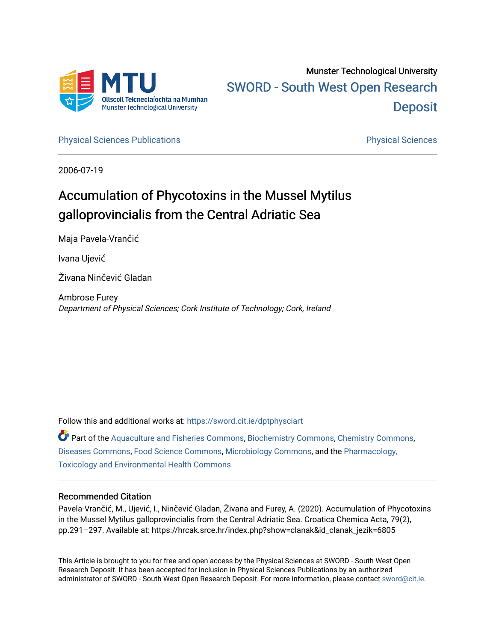

# Munster Technological University [SWORD - South West Open Research](https://sword.cit.ie/)  **Deposit**

[Physical Sciences Publications](https://sword.cit.ie/dptphysciart) **Physical Sciences** Physical Sciences

2006-07-19

# Accumulation of Phycotoxins in the Mussel Mytilus galloprovincialis from the Central Adriatic Sea

Maja Pavela-Vrančić

Ivana Ujević

Živana Ninčević Gladan

Ambrose Furey Department of Physical Sciences; Cork Institute of Technology; Cork, Ireland

Follow this and additional works at: [https://sword.cit.ie/dptphysciart](https://sword.cit.ie/dptphysciart?utm_source=sword.cit.ie%2Fdptphysciart%2F115&utm_medium=PDF&utm_campaign=PDFCoverPages)

Part of the [Aquaculture and Fisheries Commons](http://network.bepress.com/hgg/discipline/78?utm_source=sword.cit.ie%2Fdptphysciart%2F115&utm_medium=PDF&utm_campaign=PDFCoverPages), [Biochemistry Commons,](http://network.bepress.com/hgg/discipline/2?utm_source=sword.cit.ie%2Fdptphysciart%2F115&utm_medium=PDF&utm_campaign=PDFCoverPages) [Chemistry Commons,](http://network.bepress.com/hgg/discipline/131?utm_source=sword.cit.ie%2Fdptphysciart%2F115&utm_medium=PDF&utm_campaign=PDFCoverPages) [Diseases Commons](http://network.bepress.com/hgg/discipline/813?utm_source=sword.cit.ie%2Fdptphysciart%2F115&utm_medium=PDF&utm_campaign=PDFCoverPages), [Food Science Commons](http://network.bepress.com/hgg/discipline/84?utm_source=sword.cit.ie%2Fdptphysciart%2F115&utm_medium=PDF&utm_campaign=PDFCoverPages), [Microbiology Commons,](http://network.bepress.com/hgg/discipline/48?utm_source=sword.cit.ie%2Fdptphysciart%2F115&utm_medium=PDF&utm_campaign=PDFCoverPages) and the [Pharmacology,](http://network.bepress.com/hgg/discipline/63?utm_source=sword.cit.ie%2Fdptphysciart%2F115&utm_medium=PDF&utm_campaign=PDFCoverPages) [Toxicology and Environmental Health Commons](http://network.bepress.com/hgg/discipline/63?utm_source=sword.cit.ie%2Fdptphysciart%2F115&utm_medium=PDF&utm_campaign=PDFCoverPages)

# Recommended Citation

Pavela-Vrančić, M., Ujević, I., Ninčević Gladan, Živana and Furey, A. (2020). Accumulation of Phycotoxins in the Mussel Mytilus galloprovincialis from the Central Adriatic Sea. Croatica Chemica Acta, 79(2), pp.291–297. Available at: https://hrcak.srce.hr/index.php?show=clanak&id\_clanak\_jezik=6805

This Article is brought to you for free and open access by the Physical Sciences at SWORD - South West Open Research Deposit. It has been accepted for inclusion in Physical Sciences Publications by an authorized administrator of SWORD - South West Open Research Deposit. For more information, please contact [sword@cit.ie.](mailto:sword@cit.ie)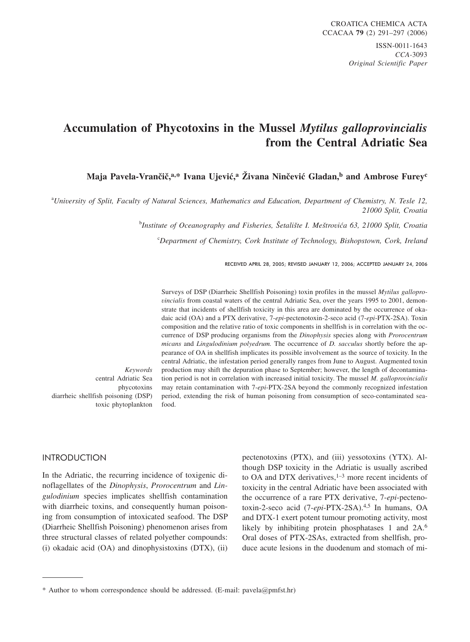# **Accumulation of Phycotoxins in the Mussel** *Mytilus galloprovincialis* **from the Central Adriatic Sea**

**Maja Pavela-Vrančič,<sup>a,\*</sup> Ivana Ujević,<sup>a</sup> Živana Ninčević Gladan,<sup>b</sup> and Ambrose Furey<sup>c</sup>** 

a *University of Split, Faculty of Natural Sciences, Mathematics and Education, Department of Chemistry, N. Tesle 12, 21000 Split, Croatia*

<sup>b</sup>Institute of Oceanography and Fisheries, Šetalište I. Meštrovića 63, 21000 Split, Croatia

c *Department of Chemistry, Cork Institute of Technology, Bishopstown, Cork, Ireland*

Surveys of DSP (Diarrheic Shellfish Poisoning) toxin profiles in the mussel *Mytilus gallopro-*

RECEIVED APRIL 28, 2005; REVISED JANUARY 12, 2006; ACCEPTED JANUARY 24, 2006

*vincialis* from coastal waters of the central Adriatic Sea, over the years 1995 to 2001, demonstrate that incidents of shellfish toxicity in this area are dominated by the occurrence of okadaic acid (OA) and a PTX derivative, 7-*epi*-pectenotoxin-2-seco acid (7-*epi*-PTX-2SA). Toxin composition and the relative ratio of toxic components in shellfish is in correlation with the occurrence of DSP producing organisms from the *Dinophysis* species along with *Prorocentrum micans* and *Lingulodinium polyedrum.* The occurrence of *D. sacculus* shortly before the appearance of OA in shellfish implicates its possible involvement as the source of toxicity. In the central Adriatic, the infestation period generally ranges from June to August. Augmented toxin production may shift the depuration phase to September; however, the length of decontamination period is not in correlation with increased initial toxicity. The mussel *M. galloprovincialis* may retain contamination with 7-*epi*-PTX-2SA beyond the commonly recognized infestation period, extending the risk of human poisoning from consumption of seco-contaminated seafood.

*Keywords* central Adriatic Sea phycotoxins diarrheic shellfish poisoning (DSP) toxic phytoplankton

#### **INTRODUCTION** INTRODUCTION

In the Adriatic, the recurring incidence of toxigenic dinoflagellates of the *Dinophysis*, *Prorocentrum* and *Lingulodinium* species implicates shellfish contamination with diarrheic toxins, and consequently human poisoning from consumption of intoxicated seafood. The DSP (Diarrheic Shellfish Poisoning) phenomenon arises from three structural classes of related polyether compounds: (i) okadaic acid (OA) and dinophysistoxins (DTX), (ii)

pectenotoxins (PTX), and (iii) yessotoxins (YTX). Although DSP toxicity in the Adriatic is usually ascribed to OA and DTX derivatives, $1-3$  more recent incidents of toxicity in the central Adriatic have been associated with the occurrence of a rare PTX derivative, 7-*epi*-pectenotoxin-2-seco acid (7-*epi*-PTX-2SA).4,5 In humans, OA and DTX-1 exert potent tumour promoting activity, most likely by inhibiting protein phosphatases 1 and 2A.<sup>6</sup> Oral doses of PTX-2SAs, extracted from shellfish, produce acute lesions in the duodenum and stomach of mi-

<sup>\*</sup> Author to whom correspondence should be addressed. (E-mail: pavela*@*pmfst.hr)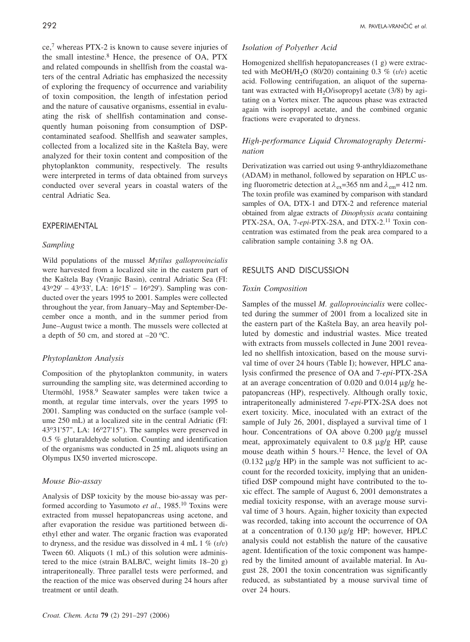ce,7 whereas PTX-2 is known to cause severe injuries of the small intestine.8 Hence, the presence of OA, PTX and related compounds in shellfish from the coastal waters of the central Adriatic has emphasized the necessity of exploring the frequency of occurrence and variability of toxin composition, the length of infestation period and the nature of causative organisms, essential in evaluating the risk of shellfish contamination and consequently human poisoning from consumption of DSPcontaminated seafood. Shellfish and seawater samples, collected from a localized site in the Kaštela Bay, were analyzed for their toxin content and composition of the phytoplankton community, respectively. The results were interpreted in terms of data obtained from surveys conducted over several years in coastal waters of the central Adriatic Sea.

## *Sampling*

Wild populations of the mussel *Mytilus galloprovincialis* were harvested from a localized site in the eastern part of the Kaštela Bay (Vranjic Basin), central Adriatic Sea (FI:  $43^{\circ}29' - 43^{\circ}33'$ , LA:  $16^{\circ}15' - 16^{\circ}29'$ ). Sampling was conducted over the years 1995 to 2001. Samples were collected throughout the year, from January–May and September-December once a month, and in the summer period from June–August twice a month. The mussels were collected at a depth of 50 cm, and stored at  $-20$  °C.

## *Phytoplankton Analysis*

Composition of the phytoplankton community, in waters surrounding the sampling site, was determined according to Utermöhl, 1958.<sup>9</sup> Seawater samples were taken twice a month, at regular time intervals, over the years 1995 to 2001. Sampling was conducted on the surface (sample volume 250 mL) at a localized site in the central Adriatic (FI:  $43^{\circ}31'57''$ , LA:  $16^{\circ}27'15''$ ). The samples were preserved in 0.5 % glutaraldehyde solution. Counting and identification of the organisms was conducted in 25 mL aliquots using an Olympus IX50 inverted microscope.

## *Mouse Bio-assay*

Analysis of DSP toxicity by the mouse bio-assay was performed according to Yasumoto *et al.*, 1985.<sup>10</sup> Toxins were extracted from mussel hepatopancreas using acetone, and after evaporation the residue was partitioned between diethyl ether and water. The organic fraction was evaporated to dryness, and the residue was dissolved in 4 mL  $1 \%$  ( $v/v$ ) Tween 60. Aliquots (1 mL) of this solution were administered to the mice (strain BALB/C, weight limits 18–20 g) intraperitoneally. Three parallel tests were performed, and the reaction of the mice was observed during 24 hours after treatment or until death.

# *Isolation of Polyether Acid*

Homogenized shellfish hepatopancreases (1 g) were extracted with MeOH/H<sub>2</sub>O (80/20) containing 0.3  $\%$  ( $v/v$ ) acetic acid. Following centrifugation, an aliquot of the supernatant was extracted with  $H_2O$ /isopropyl acetate (3/8) by agitating on a Vortex mixer. The aqueous phase was extracted again with isopropyl acetate, and the combined organic fractions were evaporated to dryness.

# *High-performance Liquid Chromatography Determination*

Derivatization was carried out using 9-anthryldiazomethane (ADAM) in methanol, followed by separation on HPLC using fluorometric detection at  $\lambda_{ex}$ =365 nm and  $\lambda_{em}$ = 412 nm. The toxin profile was examined by comparison with standard samples of OA, DTX-1 and DTX-2 and reference material obtained from algae extracts of *Dinophysis acuta* containing PTX-2SA, OA, 7-*epi*-PTX-2SA, and DTX-2.<sup>11</sup> Toxin concentration was estimated from the peak area compared to a calibration sample containing 3.8 ng OA.

#### **RESULTS AND DISCUSSION** RESULTS AND DISCUSSION

#### *Toxin Composition*

Samples of the mussel *M. galloprovincialis* were collected during the summer of 2001 from a localized site in the eastern part of the Kaštela Bay, an area heavily polluted by domestic and industrial wastes. Mice treated with extracts from mussels collected in June 2001 revealed no shellfish intoxication, based on the mouse survival time of over 24 hours (Table I); however, HPLC analysis confirmed the presence of OA and 7-*epi*-PTX-2SA at an average concentration of  $0.020$  and  $0.014 \mu g/g$  hepatopancreas (HP), respectively. Although orally toxic, intraperitoneally administered 7-*epi*-PTX-2SA does not exert toxicity. Mice, inoculated with an extract of the sample of July 26, 2001, displayed a survival time of 1 hour. Concentrations of OA above  $0.200 \mu g/g$  mussel meat, approximately equivalent to  $0.8 \mu$ g/g HP, cause mouse death within 5 hours.<sup>12</sup> Hence, the level of OA  $(0.132 \text{ µg/g HP})$  in the sample was not sufficient to account for the recorded toxicity, implying that an unidentified DSP compound might have contributed to the toxic effect. The sample of August 6, 2001 demonstrates a medial toxicity response, with an average mouse survival time of 3 hours. Again, higher toxicity than expected was recorded, taking into account the occurrence of OA at a concentration of  $0.130 \mu g/g$  HP; however, HPLC analysis could not establish the nature of the causative agent. Identification of the toxic component was hampered by the limited amount of available material. In August 28, 2001 the toxin concentration was significantly reduced, as substantiated by a mouse survival time of over 24 hours.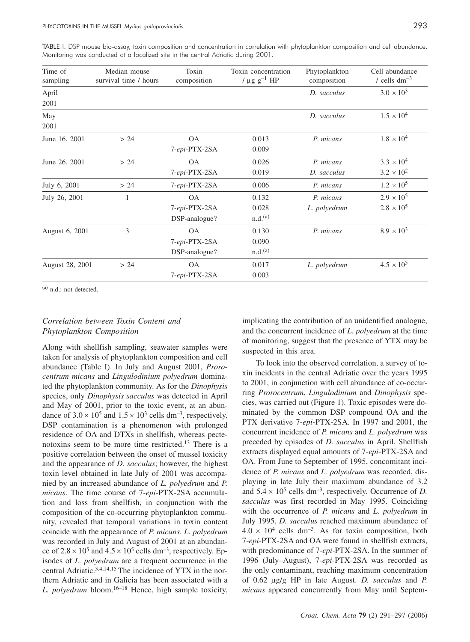|  |  |                                                                                   | TABLE I. DSP mouse bio-assay, toxin composition and concentration in correlation with phytoplankton composition and cell abundance. |  |
|--|--|-----------------------------------------------------------------------------------|-------------------------------------------------------------------------------------------------------------------------------------|--|
|  |  | Monitoring was conducted at a localized site in the central Adriatic during 2001. |                                                                                                                                     |  |

| Time of<br>sampling | Median mouse<br>survival time / hours | Toxin<br>composition | Toxin concentration<br>/ $\mu$ g g <sup>-1</sup> HP | Phytoplankton<br>composition | Cell abundance<br>/ cells $dm^{-3}$ |
|---------------------|---------------------------------------|----------------------|-----------------------------------------------------|------------------------------|-------------------------------------|
| April               |                                       |                      |                                                     | D. sacculus                  | $3.0 \times 10^{3}$                 |
| 2001                |                                       |                      |                                                     |                              |                                     |
| May                 |                                       |                      |                                                     | D. sacculus                  | $1.5 \times 10^{4}$                 |
| 2001                |                                       |                      |                                                     |                              |                                     |
| June 16, 2001       | > 24                                  | <b>OA</b>            | 0.013                                               | P. micans                    | $1.8 \times 10^{4}$                 |
|                     |                                       | 7-epi-PTX-2SA        | 0.009                                               |                              |                                     |
| June 26, 2001       | > 24                                  | <b>OA</b>            | 0.026                                               | P. micans                    | $3.3 \times 10^{4}$                 |
|                     |                                       | 7-epi-PTX-2SA        | 0.019                                               | D. sacculus                  | $3.2 \times 10^{2}$                 |
| July 6, 2001        | > 24                                  | 7-epi-PTX-2SA        | 0.006                                               | P. micans                    | $1.2 \times 10^{5}$                 |
| July 26, 2001       | 1                                     | <b>OA</b>            | 0.132                                               | P. micans                    | $2.9 \times 10^{5}$                 |
|                     |                                       | 7-epi-PTX-2SA        | 0.028                                               | L. polyedrum                 | $2.8 \times 10^{5}$                 |
|                     |                                       | DSP-analogue?        | n.d. <sup>(a)</sup>                                 |                              |                                     |
| August 6, 2001      | 3                                     | <b>OA</b>            | 0.130                                               | P. micans                    | $8.9 \times 10^{3}$                 |
|                     |                                       | 7-epi-PTX-2SA        | 0.090                                               |                              |                                     |
|                     |                                       | DSP-analogue?        | n.d. <sup>(a)</sup>                                 |                              |                                     |
| August 28, 2001     | > 24                                  | <b>OA</b>            | 0.017                                               | L. polyedrum                 | $4.5 \times 10^{5}$                 |
|                     |                                       | 7-epi-PTX-2SA        | 0.003                                               |                              |                                     |

 $(a)$  n.d.: not detected.

## *Correlation between Toxin Content and Phytoplankton Composition*

Along with shellfish sampling, seawater samples were taken for analysis of phytoplankton composition and cell abundance (Table I). In July and August 2001, *Prorocentrum micans* and *Lingulodinium polyedrum* dominated the phytoplankton community. As for the *Dinophysis* species, only *Dinophysis sacculus* was detected in April and May of 2001, prior to the toxic event, at an abundance of  $3.0 \times 10^5$  and  $1.5 \times 10^3$  cells dm<sup>-3</sup>, respectively. DSP contamination is a phenomenon with prolonged residence of OA and DTXs in shellfish, whereas pectenotoxins seem to be more time restricted.13 There is a positive correlation between the onset of mussel toxicity and the appearance of *D. sacculus*; however, the highest toxin level obtained in late July of 2001 was accompanied by an increased abundance of *L. polyedrum* and *P. micans*. The time course of 7-*epi*-PTX-2SA accumulation and loss from shellfish, in conjunction with the composition of the co-occurring phytoplankton community, revealed that temporal variations in toxin content coincide with the appearance of *P. micans*. *L. polyedrum* was recorded in July and August of 2001 at an abundance of  $2.8 \times 10^5$  and  $4.5 \times 10^5$  cells dm<sup>-3</sup>, respectively. Episodes of *L. polyedrum* are a frequent occurrence in the central Adriatic.3,4,14,15 The incidence of YTX in the northern Adriatic and in Galicia has been associated with a *L. polyedrum* bloom.16–18 Hence, high sample toxicity,

implicating the contribution of an unidentified analogue, and the concurrent incidence of *L. polyedrum* at the time of monitoring, suggest that the presence of YTX may be suspected in this area.

To look into the observed correlation, a survey of toxin incidents in the central Adriatic over the years 1995 to 2001, in conjunction with cell abundance of co-occurring *Prorocentrum*, *Lingulodinium* and *Dinophysis* species, was carried out (Figure 1). Toxic episodes were dominated by the common DSP compound OA and the PTX derivative 7-*epi*-PTX-2SA. In 1997 and 2001, the concurrent incidence of *P. micans* and *L. polyedrum* was preceded by episodes of *D. sacculus* in April. Shellfish extracts displayed equal amounts of 7-*epi*-PTX-2SA and OA. From June to September of 1995, concomitant incidence of *P. micans* and *L. polyedrum* was recorded, displaying in late July their maximum abundance of 3.2 and  $5.4 \times 10^5$  cells dm<sup>-3</sup>, respectively. Occurrence of *D*. *sacculus* was first recorded in May 1995. Coinciding with the occurrence of *P. micans* and *L. polyedrum* in July 1995, *D. sacculus* reached maximum abundance of  $4.0 \times 10^4$  cells dm<sup>-3</sup>. As for toxin composition, both 7-*epi*-PTX-2SA and OA were found in shellfish extracts, with predominance of 7-*epi*-PTX-2SA. In the summer of 1996 (July–August), 7-*epi*-PTX-2SA was recorded as the only contaminant, reaching maximum concentration of 0.62 g/g HP in late August. *D. sacculus* and *P. micans* appeared concurrently from May until Septem-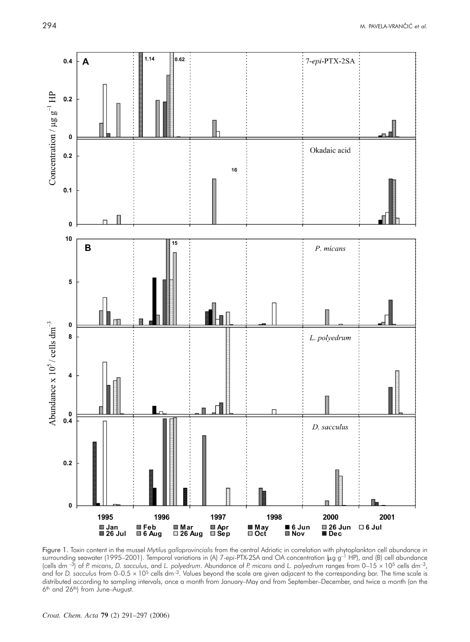

Figure 1. Toxin content in the mussel *Mytilus galloprovincialis* from the central Adriatic in correlation with phytoplankton cell abundance in surrounding seawater (1995–2001). Temporal variations in (A) 7-epi-PTX-2SA and OA concentration (µg g<sup>-1</sup> HP), and (B) cell abundance (cells dm –3) of *P. micans*, *D. sacculus*, and *L. polyedrum*. Abundance of *P. micans* and *L. polyedrum* ranges from 0–15 - 105 cells dm–3, and for *D.* sacculus from 0–0.5 x 10<sup>5</sup> cells dm<sup>-3</sup>. Values beyond the scale are given adjacent to the corresponding bar. The time scale is distributed according to sampling intervals, once a month from January–May and from September–December, and twice a month (on the 6<sup>th</sup> and 26<sup>th</sup>) from June–August.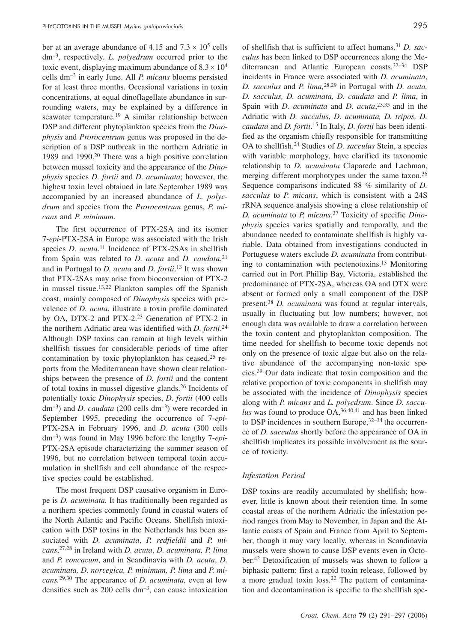ber at an average abundance of  $4.15$  and  $7.3 \times 10^5$  cells dm–3, respectively. *L. polyedrum* occurred prior to the toxic event, displaying maximum abundance of  $8.3 \times 10^4$ cells dm–3 in early June. All *P. micans* blooms persisted for at least three months. Occasional variations in toxin concentrations, at equal dinoflagellate abundance in surrounding waters, may be explained by a difference in seawater temperature.<sup>19</sup> A similar relationship between DSP and different phytoplankton species from the *Dinophysis* and *Prorocentrum* genus was proposed in the description of a DSP outbreak in the northern Adriatic in 1989 and 1990.20 There was a high positive correlation between mussel toxicity and the appearance of the *Dinophysis* species *D. fortii* and *D. acuminata*; however, the highest toxin level obtained in late September 1989 was accompanied by an increased abundance of *L. polyedrum* and species from the *Prorocentrum* genus, *P. micans* and *P. minimum*.

The first occurrence of PTX-2SA and its isomer 7-*epi*-PTX-2SA in Europe was associated with the Irish species *D. acuta*. <sup>11</sup> Incidence of PTX-2SAs in shellfish from Spain was related to *D. acuta* and *D. caudata*, 21 and in Portugal to *D. acuta* and *D. fortii*. <sup>13</sup> It was shown that PTX-2SAs may arise from bioconversion of PTX-2 in mussel tissue.13,22 Plankton samples off the Spanish coast, mainly composed of *Dinophysis* species with prevalence of *D. acuta*, illustrate a toxin profile dominated by OA, DTX-2 and PTX-2.23 Generation of PTX-2 in the northern Adriatic area was identified with *D. fortii*. 24 Although DSP toxins can remain at high levels within shellfish tissues for considerable periods of time after contamination by toxic phytoplankton has ceased, $25$  reports from the Mediterranean have shown clear relationships between the presence of *D. fortii* and the content of total toxins in mussel digestive glands.26 Incidents of potentially toxic *Dinophysis* species, *D. fortii* (400 cells  $dm^{-3}$ ) and *D. caudata* (200 cells  $dm^{-3}$ ) were recorded in September 1995, preceding the occurrence of 7-*epi*-PTX-2SA in February 1996, and *D. acuta* (300 cells dm–3) was found in May 1996 before the lengthy 7-*epi*-PTX-2SA episode characterizing the summer season of 1996, but no correlation between temporal toxin accumulation in shellfish and cell abundance of the respective species could be established.

The most frequent DSP causative organism in Europe is *D. acuminata.* It has traditionally been regarded as a northern species commonly found in coastal waters of the North Atlantic and Pacific Oceans. Shellfish intoxication with DSP toxins in the Netherlands has been associated with *D. acuminata*, *P. redfieldii* and *P. micans*, 27,28 in Ireland with *D. acuta*, *D. acuminata, P. lima* and *P. concavum*, and in Scandinavia with *D. acuta*, *D. acuminata, D. norvegica, P. minimum, P. lima* and *P. micans.*29,30 The appearance of *D. acuminata,* even at low densities such as  $200$  cells  $dm^{-3}$ , can cause intoxication of shellfish that is sufficient to affect humans.31 *D. sacculus* has been linked to DSP occurrences along the Mediterranean and Atlantic European coasts.32–34 DSP incidents in France were associated with *D. acuminata*, *D. sacculus* and *P. lima,*28,29 in Portugal with *D. acuta, D. sacculus, D. acuminata, D. caudata* and *P. lima*, in Spain with *D. acuminata* and *D. acuta*, 23,35 and in the Adriatic with *D. sacculus*, *D. acuminata, D. tripos, D. caudata* and *D. fortii*. <sup>15</sup> In Italy, *D. fortii* has been identified as the organism chiefly responsible for transmitting OA to shellfish.24 Studies of *D. sacculus* Stein, a species with variable morphology, have clarified its taxonomic relationship to *D. acuminata* Claparede and Lachman, merging different morphotypes under the same taxon.<sup>36</sup> Sequence comparisons indicated 88 % similarity of *D. sacculus* to *P. micans*, which is consistent with a 24S rRNA sequence analysis showing a close relationship of *D. acuminata* to *P. micans*. <sup>37</sup> Toxicity of specific *Dinophysis* species varies spatially and temporally, and the abundance needed to contaminate shellfish is highly variable. Data obtained from investigations conducted in Portuguese waters exclude *D. acuminata* from contributing to contamination with pectenotoxins.13 Monitoring carried out in Port Phillip Bay, Victoria, established the predominance of PTX-2SA, whereas OA and DTX were absent or formed only a small component of the DSP present.38 *D. acuminata* was found at regular intervals, usually in fluctuating but low numbers; however, not enough data was available to draw a correlation between the toxin content and phytoplankton composition. The time needed for shellfish to become toxic depends not only on the presence of toxic algae but also on the relative abundance of the accompanying non-toxic species.39 Our data indicate that toxin composition and the relative proportion of toxic components in shellfish may be associated with the incidence of *Dinophysis* species along with *P. micans* and *L. polyedrum*. Since *D. sacculus* was found to produce OA,36,40,41 and has been linked to DSP incidences in southern Europe,  $32-34$  the occurrence of *D. sacculus* shortly before the appearance of OA in shellfish implicates its possible involvement as the source of toxicity.

#### *Infestation Period*

DSP toxins are readily accumulated by shellfish; however, little is known about their retention time. In some coastal areas of the northern Adriatic the infestation period ranges from May to November, in Japan and the Atlantic coasts of Spain and France from April to September, though it may vary locally, whereas in Scandinavia mussels were shown to cause DSP events even in October.42 Detoxification of mussels was shown to follow a biphasic pattern: first a rapid toxin release, followed by a more gradual toxin loss.22 The pattern of contamination and decontamination is specific to the shellfish spe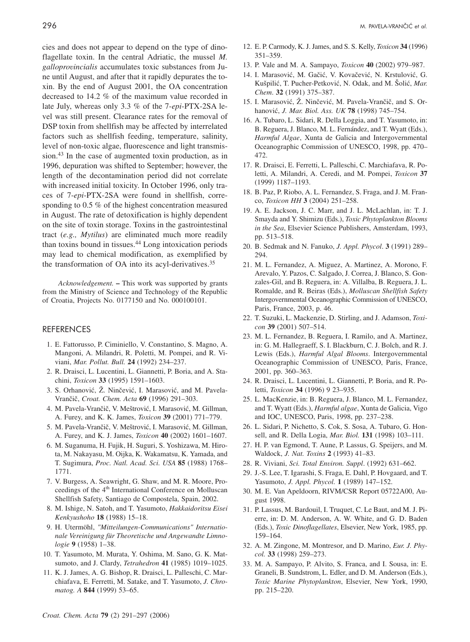cies and does not appear to depend on the type of dinoflagellate toxin. In the central Adriatic, the mussel *M. galloprovincialis* accumulates toxic substances from June until August, and after that it rapidly depurates the toxin. By the end of August 2001, the OA concentration decreased to 14.2 % of the maximum value recorded in late July, whereas only 3.3 % of the 7-*epi*-PTX-2SA level was still present. Clearance rates for the removal of DSP toxin from shellfish may be affected by interrelated factors such as shellfish feeding, temperature, salinity, level of non-toxic algae, fluorescence and light transmission.<sup>43</sup> In the case of augmented toxin production, as in 1996, depuration was shifted to September; however, the length of the decontamination period did not correlate with increased initial toxicity. In October 1996, only traces of 7-*epi*-PTX-2SA were found in shellfish, corresponding to 0.5 % of the highest concentration measured in August. The rate of detoxification is highly dependent on the site of toxin storage. Toxins in the gastrointestinal tract (*e.g., Mytilus*) are eliminated much more readily than toxins bound in tissues.44 Long intoxication periods may lead to chemical modification, as exemplified by the transformation of OA into its acyl-derivatives.35

*Acknowledgement.* **–** This work was supported by grants from the Ministry of Science and Technology of the Republic of Croatia, Projects No. 0177150 and No. 000100101.

#### **REFERENCES** REFERENCES

- 1. E. Fattorusso, P. Ciminiello, V. Constantino, S. Magno, A. Mangoni, A. Milandri, R. Poletti, M. Pompei, and R. Viviani, *Mar. Pollut. Bull.* **24** (1992) 234–237.
- 2. R. Draisci, L. Lucentini, L. Giannetti, P. Boria, and A. Stachini, *Toxicon* **33** (1995) 1591–1603.
- 3. S. Orhanović, Ž. Ninčević, I. Marasović, and M. Pavela-Vran~i~, *Croat. Chem. Acta* **69** (1996) 291–303.
- 4. M. Pavela-Vrančič, V. Meštrović, I. Marasović, M. Gillman, A. Furey, and K. K. James, *Toxicon* **39** (2001) 771–779.
- 5. M. Pavela-Vrančič, V. Meštrović, I. Marasović, M. Gillman, A. Furey, and K. J. James, *Toxicon* **40** (2002) 1601–1607.
- 6. M. Suganuma, H. Fujik, H. Suguri, S. Yoshizawa, M. Hirota, M. Nakayasu, M. Oijka, K. Wakamatsu, K. Yamada, and T. Sugimura, *Proc. Natl. Acad. Sci. USA* **85** (1988) 1768– 1771.
- 7. V. Burgess, A. Seawright, G. Shaw, and M. R. Moore, Proceedings of the 4<sup>th</sup> International Conference on Molluscan Shellfish Safety, Santiago de Compostela, Spain, 2002.
- 8. M. Ishige, N. Satoh, and T. Yasumoto, *Hakkaidoritsu Eisei Kenkyushoho* **18** (1988) 15–18.
- 9. H. Utermöhl, *"Mitteilungen-Communications" Internationale Vereinigung für Theoretische und Angewandte Limnologie* **9** (1958) 1–38.
- 10. T. Yasumoto, M. Murata, Y. Oshima, M. Sano, G. K. Matsumoto, and J. Clardy, *Tetrahedron* **41** (1985) 1019–1025.
- 11. K. J. James, A. G. Bishop, R. Draisci, L. Palleschi, C. Marchiafava, E. Ferretti, M. Satake, and T. Yasumoto, *J. Chromatog. A* **844** (1999) 53–65.
- 12. E. P. Carmody, K. J. James, and S. S. Kelly, *Toxicon* **34** (1996) 351–359.
- 13. P. Vale and M. A. Sampayo, *Toxicon* **40** (2002) 979–987.
- 14. I. Marasović, M. Gačić, V. Kovačević, N. Krstulović, G. Kušpilić, T. Pucher-Petković, N. Odak, and M. Šolić, *Mar. Chem*. **32** (1991) 375–387.
- 15. I. Marasović, Ž. Ninčević, M. Pavela-Vrančič, and S. Orhanovi}, *J. Mar. Biol. Ass. UK* **78** (1998) 745–754.
- 16. A. Tubaro, L. Sidari, R. Della Loggia, and T. Yasumoto, in: B. Reguera, J. Blanco, M. L. Fernández, and T. Wyatt (Eds.), *Harmful Algae*, Xunta de Galicia and Intergovernmental Oceanographic Commission of UNESCO, 1998, pp. 470– 472.
- 17. R. Draisci, E. Ferretti, L. Palleschi, C. Marchiafava, R. Poletti, A. Milandri, A. Ceredi, and M. Pompei, *Toxicon* **37** (1999) 1187–1193.
- 18. B. Paz, P. Riobo, A. L. Fernandez, S. Fraga, and J. M. Franco, *Toxicon HH* **3** (2004) 251–258.
- 19. A. E. Jackson, J. C. Marr, and J. L. McLachlan, in: T. J. Smayda and Y. Shimizu (Eds.), *Toxic Phytoplankton Blooms in the Sea*, Elsevier Science Publishers, Amsterdam, 1993, pp. 513–518.
- 20. B. Sedmak and N. Fanuko, *J. Appl. Phycol*. **3** (1991) 289– 294.
- 21. M. L. Fernandez, A. Miguez, A. Martinez, A. Morono, F. Arevalo, Y. Pazos, C. Salgado, J. Correa, J. Blanco, S. Gonzales-Gil, and B. Reguera, in: A. Villalba, B. Reguera, J. L. Romalde, and R. Beiras (Eds.), *Molluscan Shellfish Safety* Intergovernmental Oceanographic Commission of UNESCO, Paris, France, 2003, p. 46.
- 22. T. Suzuki, L. Mackenzie, D. Stirling, and J. Adamson, *Toxicon* **39** (2001) 507–514.
- 23. M. L. Fernandez, B. Reguera, I. Ramilo, and A. Martinez, in: G. M. Hallegraeff, S. I. Blackburn, C. J. Bolch, and R. J. Lewis (Eds.), *Harmful Algal Blooms*. Intergovernmental Oceanographic Commission of UNESCO, Paris, France, 2001, pp. 360–363.
- 24. R. Draisci, L. Lucentini, L. Giannetti, P. Boria, and R. Poletti, *Toxicon* **34** (1996) 9 23–935.
- 25. L. MacKenzie, in: B. Reguera, J. Blanco, M. L. Fernandez, and T. Wyatt (Eds.), *Harmful algae*, Xunta de Galicia, Vigo and IOC, UNESCO, Paris, 1998, pp. 237–238.
- 26. L. Sidari, P. Nichetto, S. Cok, S. Sosa, A. Tubaro, G. Honsell, and R. Della Logia, *Mar. Biol.* **131** (1998) 103–111.
- 27. H. P. van Egmond, T. Aune, P. Lassus, G. Speijers, and M. Waldock, *J. Nat. Toxins* **2** (1993) 41–83.
- 28. R. Viviani, *Sci. Total Environ. Suppl*. (1992) 631–662.
- 29. J.-S. Lee, T. Igarashi, S. Fraga, E. Dahl, P. Hovgaard, and T. Yasumoto, *J. Appl. Phycol.* **1** (1989) 147–152.
- 30. M. E. Van Apeldoorn, RIVM/CSR Report 05722A00, August 1998.
- 31. P. Lassus, M. Bardouil, I. Truquet, C. Le Baut, and M. J. Pierre, in: D. M. Anderson, A. W. White, and G. D. Baden (Eds.), *Toxic Dinoflagellates*, Elsevier, New York, 1985, pp. 159–164.
- 32. A. M. Zingone, M. Montresor, and D. Marino, *Eur. J. Phycol.* **33** (1998) 259–273.
- 33. M. A. Sampayo, P. Alvito, S. Franca, and I. Sousa, in: E. Graneli, B. Sundstrom, L. Edler, and D. M. Anderson (Eds.), *Toxic Marine Phytoplankton*, Elsevier, New York, 1990, pp. 215–220.